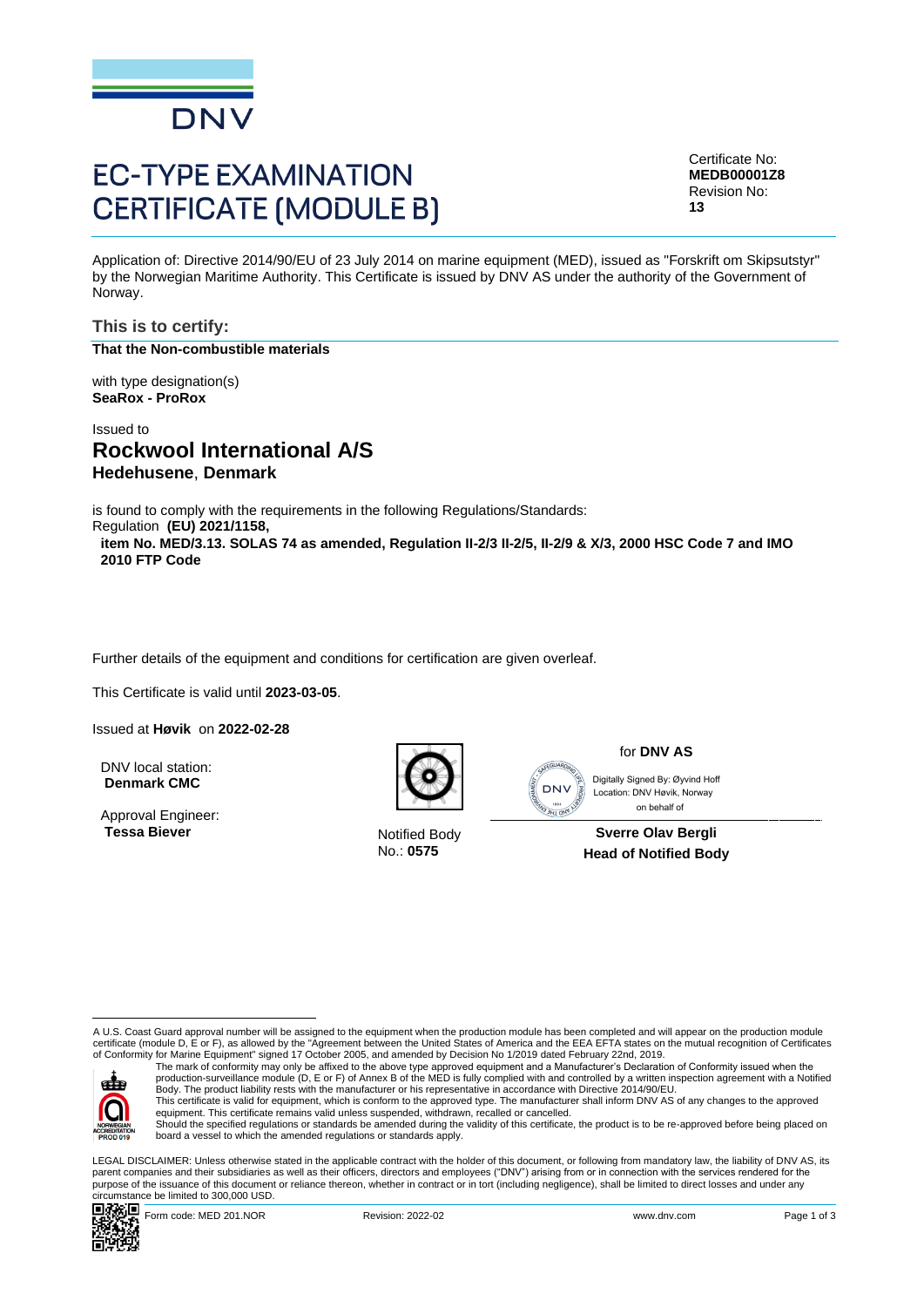

# **EC-TYPE EXAMINATION CERTIFICATE (MODULE B)**

Certificate No: **MEDB00001Z8** Revision No: **13**

Application of: Directive 2014/90/EU of 23 July 2014 on marine equipment (MED), issued as "Forskrift om Skipsutstyr" by the Norwegian Maritime Authority. This Certificate is issued by DNV AS under the authority of the Government of Norway.

**This is to certify: That the Non-combustible materials**

with type designation(s) **SeaRox - ProRox**

Issued to

## **Rockwool International A/S Hedehusene**, **Denmark**

is found to comply with the requirements in the following Regulations/Standards:

Regulation **(EU) 2021/1158, item No. MED/3.13. SOLAS 74 as amended, Regulation II-2/3 II-2/5, II-2/9 & X/3, 2000 HSC Code 7 and IMO 2010 FTP Code**

Further details of the equipment and conditions for certification are given overleaf.

This Certificate is valid until **2023-03-05**.

Issued at **Høvik** on **2022-02-28**

DNV local station: **Denmark CMC**

Approval Engineer: **Tessa Biever** Notified Body



No.: **0575**

for **DNV AS**

SEGUARD **DNV TANA STATE** 

 on behalf ofDigitally Signed By: Øyvind Hoff Location: DNV Høvik, Norway

**Sverre Olav Bergli Head of Notified Body**

A U.S. Coast Guard approval number will be assigned to the equipment when the production module has been completed and will appear on the production module certificate (module D, E or F), as allowed by the "Agreement between the United States of America and the EEA EFTA states on the mutual recognition of Certificates<br>of Conformity for Marine Equipment" signed 17 October 2005



The mark of conformity may only be affixed to the above type approved equipment and a Manufacturer's Declaration of Conformity issued when the<br>production-surveillance module (D, E or F) of Annex B of the MED is fully compl Body. The product liability rests with the manufacturer or his representative in accordance with Directive 2014/90/EU. This certificate is valid for equipment, which is conform to the approved type. The manufacturer shall inform DNV AS of any changes to the approved<br>equipment. This certificate remains valid unless suspended, withdrawn, rec

Should the specified regulations or standards be amended during the validity of this certificate, the product is to be re-approved before being placed on board a vessel to which the amended regulations or standards apply.

LEGAL DISCLAIMER: Unless otherwise stated in the applicable contract with the holder of this document, or following from mandatory law, the liability of DNV AS, its parent companies and their subsidiaries as well as their officers, directors and employees ("DNV") arising from or in connection with the services rendered for the purpose of the issuance of this document or reliance thereon, whether in contract or in tort (including negligence), shall be limited to direct losses and under any circumstance be limited to 300,000 USD.



Form code: MED 201.NOR **Revision: 2022-02** Revision: 2022-02 www.dnv.com Page 1 of 3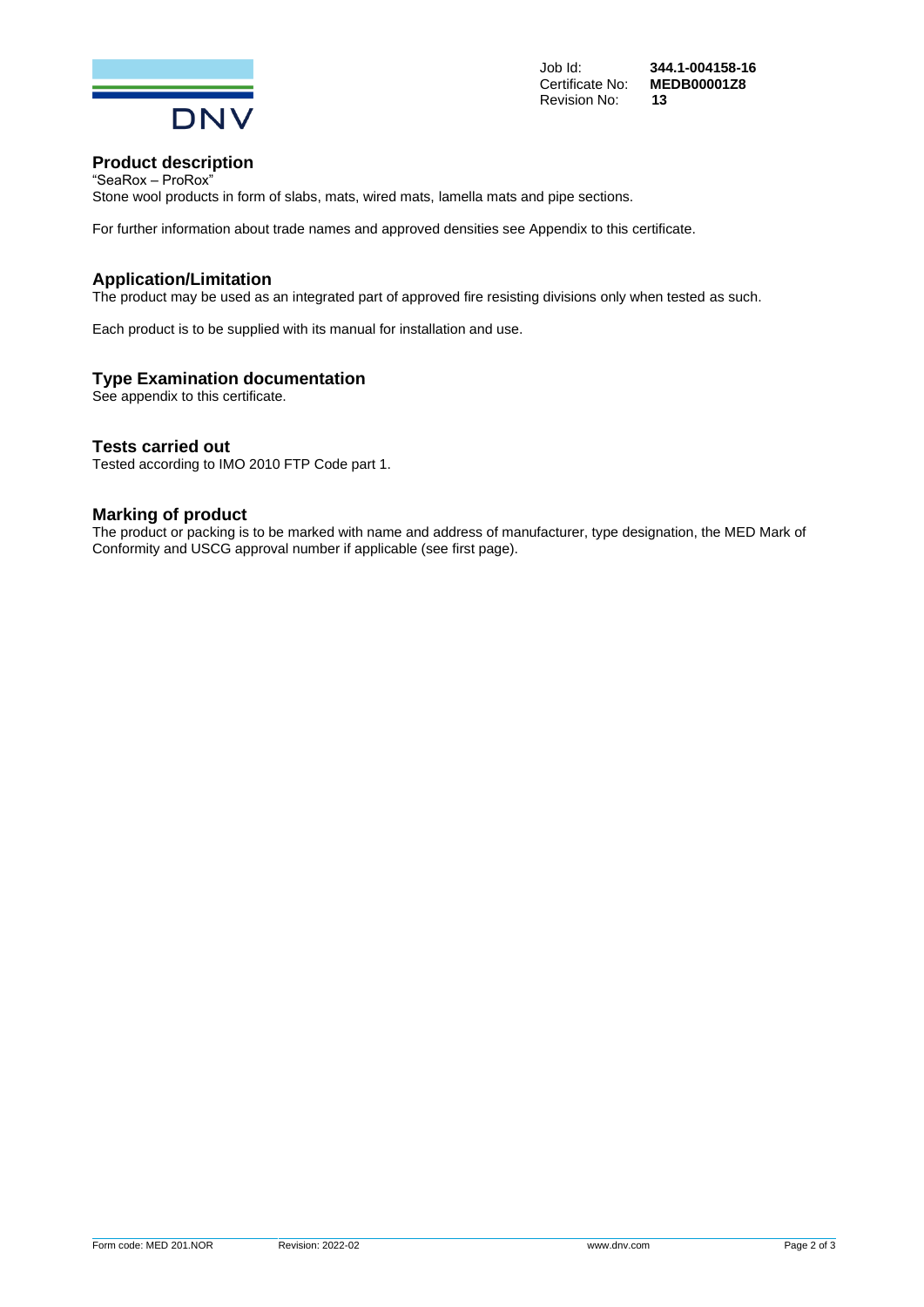

Certificate No: **ME**<br>Revision No: **13 Revision No:** 

Job Id: **344.1-004158-16**

#### **Product description** "SeaRox – ProRox"

Stone wool products in form of slabs, mats, wired mats, lamella mats and pipe sections.

For further information about trade names and approved densities see Appendix to this certificate.

#### **Application/Limitation**

The product may be used as an integrated part of approved fire resisting divisions only when tested as such.

Each product is to be supplied with its manual for installation and use.

#### **Type Examination documentation**

See appendix to this certificate.

#### **Tests carried out**

Tested according to IMO 2010 FTP Code part 1.

## **Marking of product**

The product or packing is to be marked with name and address of manufacturer, type designation, the MED Mark of Conformity and USCG approval number if applicable (see first page).